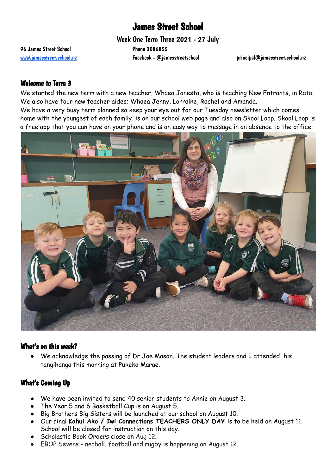# James Street School

Week One Term Three 2021 - 27 July

96 James Street School 20086855

[www.jamesstreet.school.nz](http://www.jamesstreet.school.nz) Facebook - @jamesstreetschool principal@jamesstreet.school.nz

#### Welcome to Term 3

We started the new term with a new teacher, Whaea Janesta, who is teaching New Entrants, in Rata. We also have four new teacher aides; Whaea Jenny, Lorraine, Rachel and Amanda.

We have a very busy term planned so keep your eye out for our Tuesday newsletter which comes home with the youngest of each family, is on our school web page and also on Skool Loop. Skool Loop is a free app that you can have on your phone and is an easy way to message in an absence to the office.



#### What's on this week?

We acknowledge the passing of Dr Joe Mason. The student leaders and I attended his tangihanga this morning at Pukeko Marae.

# What's Coming Up

- We have been invited to send 40 senior students to Annie on August 3.
- The Year 5 and 6 Basketball Cup is on August 5.
- Big Brothers Big Sisters will be launched at our school on August 10.
- Our final **Kahui Ako / Iwi Connections TEACHERS ONLY DAY** is to be held on August 11. School will be closed for instruction on this day.
- Scholastic Book Orders close on Aug 12.
- EBOP Sevens netball, football and rugby is happening on August 12.